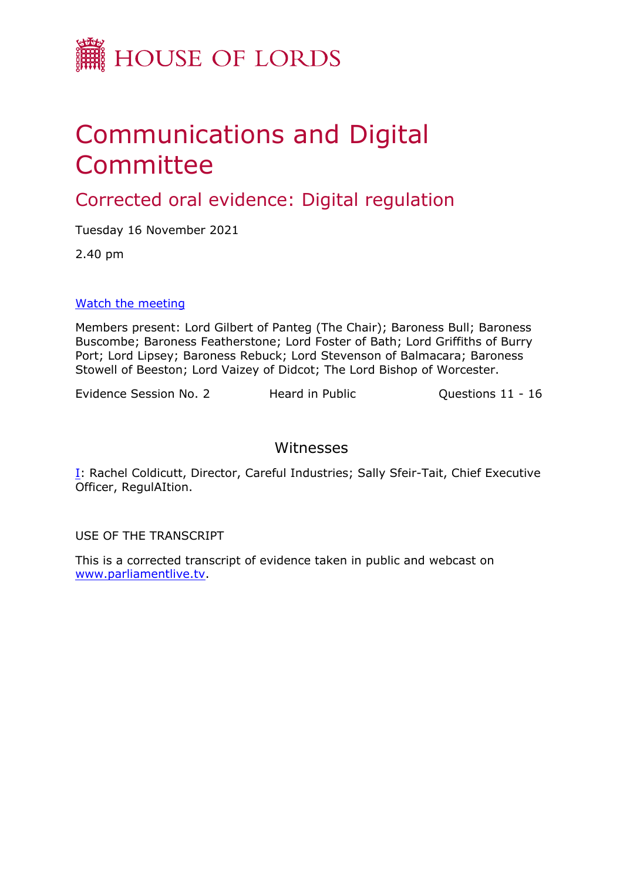

# Communications and Digital Committee

## Corrected oral evidence: Digital regulation

Tuesday 16 November 2021

2.40 pm

#### [Watch](https://parliamentlive.tv/event/index/a3fd2ae2-47ba-428c-ad33-7adcd0494033) [the](https://parliamentlive.tv/event/index/a3fd2ae2-47ba-428c-ad33-7adcd0494033) [meeting](https://parliamentlive.tv/event/index/a3fd2ae2-47ba-428c-ad33-7adcd0494033)

Members present: Lord Gilbert of Panteg (The Chair); Baroness Bull; Baroness Buscombe; Baroness Featherstone; Lord Foster of Bath; Lord Griffiths of Burry Port; Lord Lipsey; Baroness Rebuck; Lord Stevenson of Balmacara; Baroness Stowell of Beeston; Lord Vaizey of Didcot; The Lord Bishop of Worcester.

Evidence Session No. 2 Heard in Public Cuestions 11 - 16

#### Witnesses

I: Rachel Coldicutt, Director, Careful Industries; Sally Sfeir-Tait, Chief Executive Officer, RegulAItion.

USE OF THE TRANSCRIPT

This is a corrected transcript of evidence taken in public and webcast on [www.parliamentlive.tv](http://www.parliamentlive.tv/).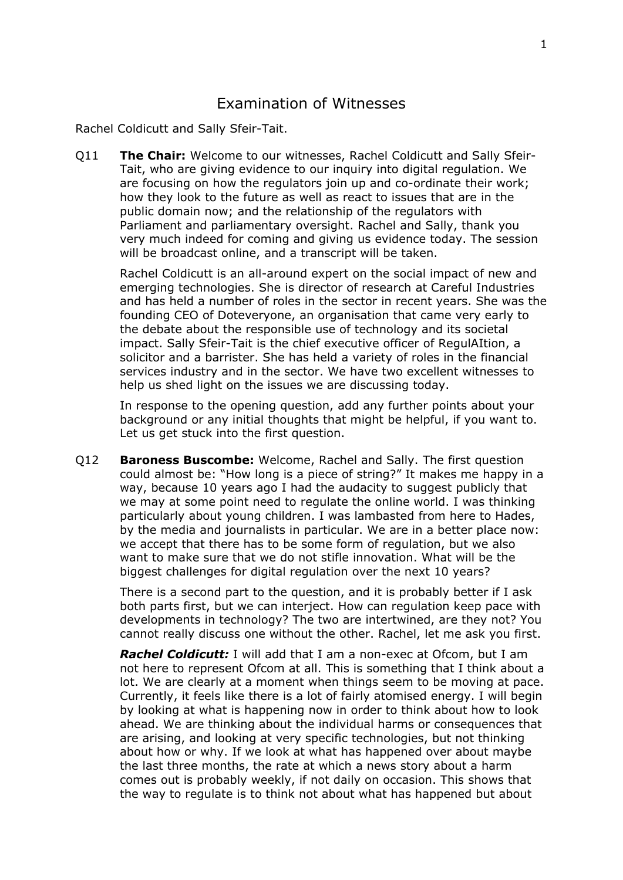### Examination of Witnesses

Rachel Coldicutt and Sally Sfeir-Tait.

Q11 **The Chair:** Welcome to our witnesses, Rachel Coldicutt and Sally Sfeir-Tait, who are giving evidence to our inquiry into digital regulation. We are focusing on how the regulators join up and co-ordinate their work; how they look to the future as well as react to issues that are in the public domain now; and the relationship of the regulators with Parliament and parliamentary oversight. Rachel and Sally, thank you very much indeed for coming and giving us evidence today. The session will be broadcast online, and a transcript will be taken.

Rachel Coldicutt is an all-around expert on the social impact of new and emerging technologies. She is director of research at Careful Industries and has held a number of roles in the sector in recent years. She was the founding CEO of Doteveryone, an organisation that came very early to the debate about the responsible use of technology and its societal impact. Sally Sfeir-Tait is the chief executive officer of RegulAItion, a solicitor and a barrister. She has held a variety of roles in the financial services industry and in the sector. We have two excellent witnesses to help us shed light on the issues we are discussing today.

In response to the opening question, add any further points about your background or any initial thoughts that might be helpful, if you want to. Let us get stuck into the first question.

Q12 **Baroness Buscombe:** Welcome, Rachel and Sally. The first question could almost be: "How long is a piece of string?" It makes me happy in a way, because 10 years ago I had the audacity to suggest publicly that we may at some point need to regulate the online world. I was thinking particularly about young children. I was lambasted from here to Hades, by the media and journalists in particular. We are in a better place now: we accept that there has to be some form of regulation, but we also want to make sure that we do not stifle innovation. What will be the biggest challenges for digital regulation over the next 10 years?

There is a second part to the question, and it is probably better if I ask both parts first, but we can interject. How can regulation keep pace with developments in technology? The two are intertwined, are they not? You cannot really discuss one without the other. Rachel, let me ask you first.

*Rachel Coldicutt:* I will add that I am a non-exec at Ofcom, but I am not here to represent Ofcom at all. This is something that I think about a lot. We are clearly at a moment when things seem to be moving at pace. Currently, it feels like there is a lot of fairly atomised energy. I will begin by looking at what is happening now in order to think about how to look ahead. We are thinking about the individual harms or consequences that are arising, and looking at very specific technologies, but not thinking about how or why. If we look at what has happened over about maybe the last three months, the rate at which a news story about a harm comes out is probably weekly, if not daily on occasion. This shows that the way to regulate is to think not about what has happened but about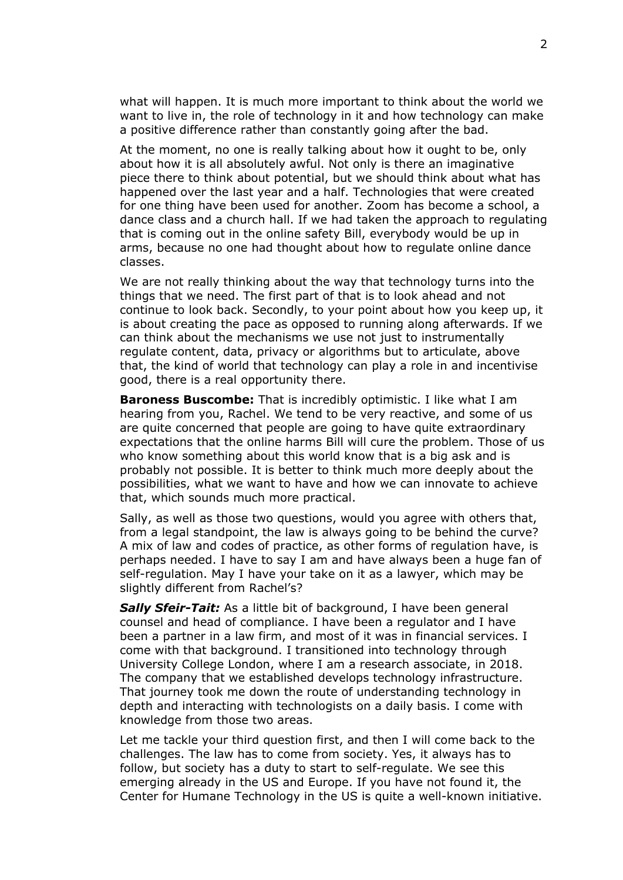what will happen. It is much more important to think about the world we want to live in, the role of technology in it and how technology can make a positive difference rather than constantly going after the bad.

At the moment, no one is really talking about how it ought to be, only about how it is all absolutely awful. Not only is there an imaginative piece there to think about potential, but we should think about what has happened over the last year and a half. Technologies that were created for one thing have been used for another. Zoom has become a school, a dance class and a church hall. If we had taken the approach to regulating that is coming out in the online safety Bill, everybody would be up in arms, because no one had thought about how to regulate online dance classes.

We are not really thinking about the way that technology turns into the things that we need. The first part of that is to look ahead and not continue to look back. Secondly, to your point about how you keep up, it is about creating the pace as opposed to running along afterwards. If we can think about the mechanisms we use not just to instrumentally regulate content, data, privacy or algorithms but to articulate, above that, the kind of world that technology can play a role in and incentivise good, there is a real opportunity there.

**Baroness Buscombe:** That is incredibly optimistic. I like what I am hearing from you, Rachel. We tend to be very reactive, and some of us are quite concerned that people are going to have quite extraordinary expectations that the online harms Bill will cure the problem. Those of us who know something about this world know that is a big ask and is probably not possible. It is better to think much more deeply about the possibilities, what we want to have and how we can innovate to achieve that, which sounds much more practical.

Sally, as well as those two questions, would you agree with others that, from a legal standpoint, the law is always going to be behind the curve? A mix of law and codes of practice, as other forms of regulation have, is perhaps needed. I have to say I am and have always been a huge fan of self-regulation. May I have your take on it as a lawyer, which may be slightly different from Rachel's?

*Sally Sfeir-Tait:* As a little bit of background, I have been general counsel and head of compliance. I have been a regulator and I have been a partner in a law firm, and most of it was in financial services. I come with that background. I transitioned into technology through University College London, where I am a research associate, in 2018. The company that we established develops technology infrastructure. That journey took me down the route of understanding technology in depth and interacting with technologists on a daily basis. I come with knowledge from those two areas.

Let me tackle your third question first, and then I will come back to the challenges. The law has to come from society. Yes, it always has to follow, but society has a duty to start to self-regulate. We see this emerging already in the US and Europe. If you have not found it, the Center for Humane Technology in the US is quite a well-known initiative.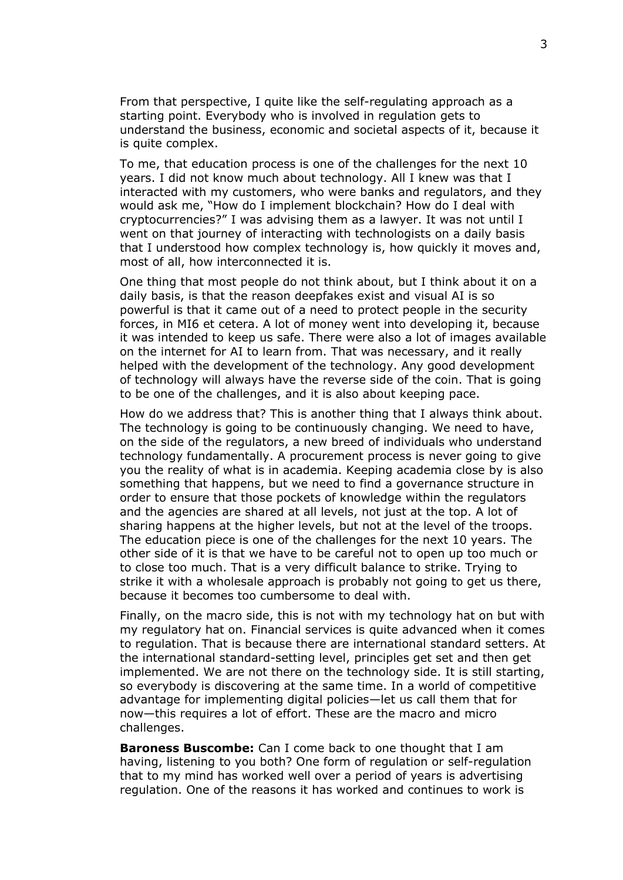From that perspective, I quite like the self-regulating approach as a starting point. Everybody who is involved in regulation gets to understand the business, economic and societal aspects of it, because it is quite complex.

To me, that education process is one of the challenges for the next 10 years. I did not know much about technology. All I knew was that I interacted with my customers, who were banks and regulators, and they would ask me, "How do I implement blockchain? How do I deal with cryptocurrencies?" I was advising them as a lawyer. It was not until I went on that journey of interacting with technologists on a daily basis that I understood how complex technology is, how quickly it moves and, most of all, how interconnected it is.

One thing that most people do not think about, but I think about it on a daily basis, is that the reason deepfakes exist and visual AI is so powerful is that it came out of a need to protect people in the security forces, in MI6 et cetera. A lot of money went into developing it, because it was intended to keep us safe. There were also a lot of images available on the internet for AI to learn from. That was necessary, and it really helped with the development of the technology. Any good development of technology will always have the reverse side of the coin. That is going to be one of the challenges, and it is also about keeping pace.

How do we address that? This is another thing that I always think about. The technology is going to be continuously changing. We need to have, on the side of the regulators, a new breed of individuals who understand technology fundamentally. A procurement process is never going to give you the reality of what is in academia. Keeping academia close by is also something that happens, but we need to find a governance structure in order to ensure that those pockets of knowledge within the regulators and the agencies are shared at all levels, not just at the top. A lot of sharing happens at the higher levels, but not at the level of the troops. The education piece is one of the challenges for the next 10 years. The other side of it is that we have to be careful not to open up too much or to close too much. That is a very difficult balance to strike. Trying to strike it with a wholesale approach is probably not going to get us there, because it becomes too cumbersome to deal with.

Finally, on the macro side, this is not with my technology hat on but with my regulatory hat on. Financial services is quite advanced when it comes to regulation. That is because there are international standard setters. At the international standard-setting level, principles get set and then get implemented. We are not there on the technology side. It is still starting, so everybody is discovering at the same time. In a world of competitive advantage for implementing digital policies—let us call them that for now—this requires a lot of effort. These are the macro and micro challenges.

**Baroness Buscombe:** Can I come back to one thought that I am having, listening to you both? One form of regulation or self-regulation that to my mind has worked well over a period of years is advertising regulation. One of the reasons it has worked and continues to work is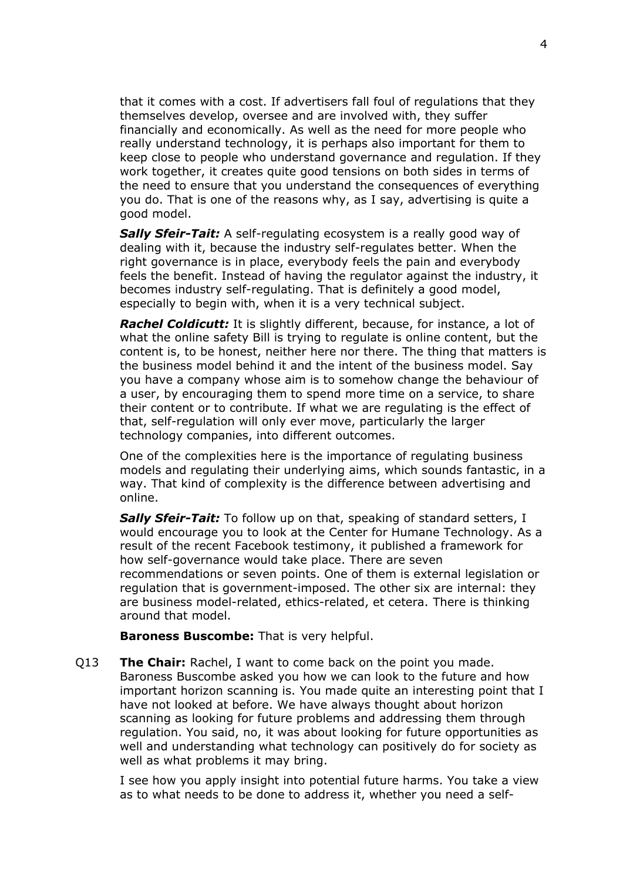that it comes with a cost. If advertisers fall foul of regulations that they themselves develop, oversee and are involved with, they suffer financially and economically. As well as the need for more people who really understand technology, it is perhaps also important for them to keep close to people who understand governance and regulation. If they work together, it creates quite good tensions on both sides in terms of the need to ensure that you understand the consequences of everything you do. That is one of the reasons why, as I say, advertising is quite a good model.

*Sally Sfeir-Tait:* A self-regulating ecosystem is a really good way of dealing with it, because the industry self-regulates better. When the right governance is in place, everybody feels the pain and everybody feels the benefit. Instead of having the regulator against the industry, it becomes industry self-regulating. That is definitely a good model, especially to begin with, when it is a very technical subject.

*Rachel Coldicutt:* It is slightly different, because, for instance, a lot of what the online safety Bill is trying to regulate is online content, but the content is, to be honest, neither here nor there. The thing that matters is the business model behind it and the intent of the business model. Say you have a company whose aim is to somehow change the behaviour of a user, by encouraging them to spend more time on a service, to share their content or to contribute. If what we are regulating is the effect of that, self-regulation will only ever move, particularly the larger technology companies, into different outcomes.

One of the complexities here is the importance of regulating business models and regulating their underlying aims, which sounds fantastic, in a way. That kind of complexity is the difference between advertising and online.

**Sally Sfeir-Tait:** To follow up on that, speaking of standard setters, I would encourage you to look at the Center for Humane Technology. As a result of the recent Facebook testimony, it published a framework for how self-governance would take place. There are seven recommendations or seven points. One of them is external legislation or regulation that is government-imposed. The other six are internal: they are business model-related, ethics-related, et cetera. There is thinking around that model.

**Baroness Buscombe:** That is very helpful.

Q13 **The Chair:** Rachel, I want to come back on the point you made. Baroness Buscombe asked you how we can look to the future and how important horizon scanning is. You made quite an interesting point that I have not looked at before. We have always thought about horizon scanning as looking for future problems and addressing them through regulation. You said, no, it was about looking for future opportunities as well and understanding what technology can positively do for society as well as what problems it may bring.

I see how you apply insight into potential future harms. You take a view as to what needs to be done to address it, whether you need a self-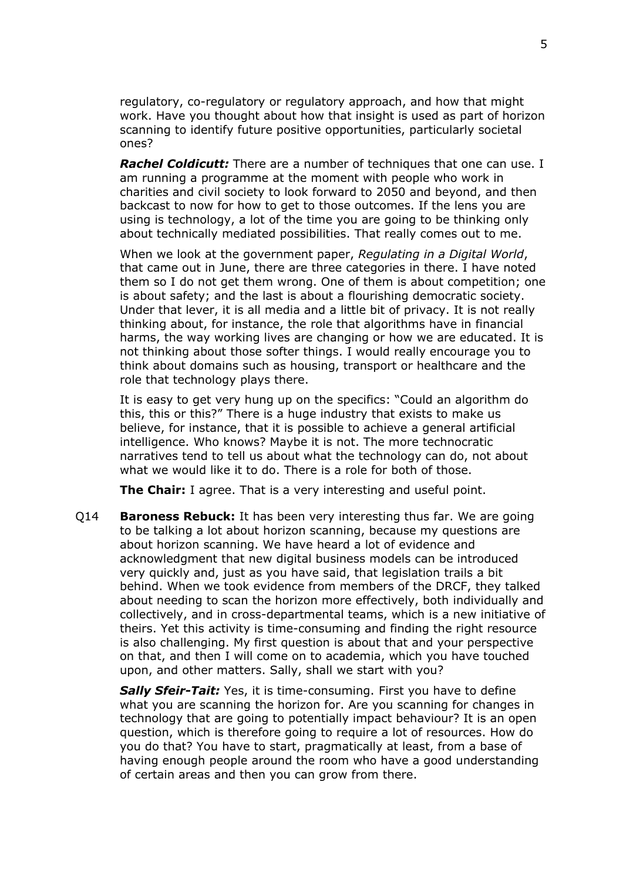regulatory, co-regulatory or regulatory approach, and how that might work. Have you thought about how that insight is used as part of horizon scanning to identify future positive opportunities, particularly societal ones?

*Rachel Coldicutt:* There are a number of techniques that one can use. I am running a programme at the moment with people who work in charities and civil society to look forward to 2050 and beyond, and then backcast to now for how to get to those outcomes. If the lens you are using is technology, a lot of the time you are going to be thinking only about technically mediated possibilities. That really comes out to me.

When we look at the government paper, *Regulating in a Digital World*, that came out in June, there are three categories in there. I have noted them so I do not get them wrong. One of them is about competition; one is about safety; and the last is about a flourishing democratic society. Under that lever, it is all media and a little bit of privacy. It is not really thinking about, for instance, the role that algorithms have in financial harms, the way working lives are changing or how we are educated. It is not thinking about those softer things. I would really encourage you to think about domains such as housing, transport or healthcare and the role that technology plays there.

It is easy to get very hung up on the specifics: "Could an algorithm do this, this or this?" There is a huge industry that exists to make us believe, for instance, that it is possible to achieve a general artificial intelligence. Who knows? Maybe it is not. The more technocratic narratives tend to tell us about what the technology can do, not about what we would like it to do. There is a role for both of those.

**The Chair:** I agree. That is a very interesting and useful point.

Q14 **Baroness Rebuck:** It has been very interesting thus far. We are going to be talking a lot about horizon scanning, because my questions are about horizon scanning. We have heard a lot of evidence and acknowledgment that new digital business models can be introduced very quickly and, just as you have said, that legislation trails a bit behind. When we took evidence from members of the DRCF, they talked about needing to scan the horizon more effectively, both individually and collectively, and in cross-departmental teams, which is a new initiative of theirs. Yet this activity is time-consuming and finding the right resource is also challenging. My first question is about that and your perspective on that, and then I will come on to academia, which you have touched upon, and other matters. Sally, shall we start with you?

*Sally Sfeir-Tait:* Yes, it is time-consuming. First you have to define what you are scanning the horizon for. Are you scanning for changes in technology that are going to potentially impact behaviour? It is an open question, which is therefore going to require a lot of resources. How do you do that? You have to start, pragmatically at least, from a base of having enough people around the room who have a good understanding of certain areas and then you can grow from there.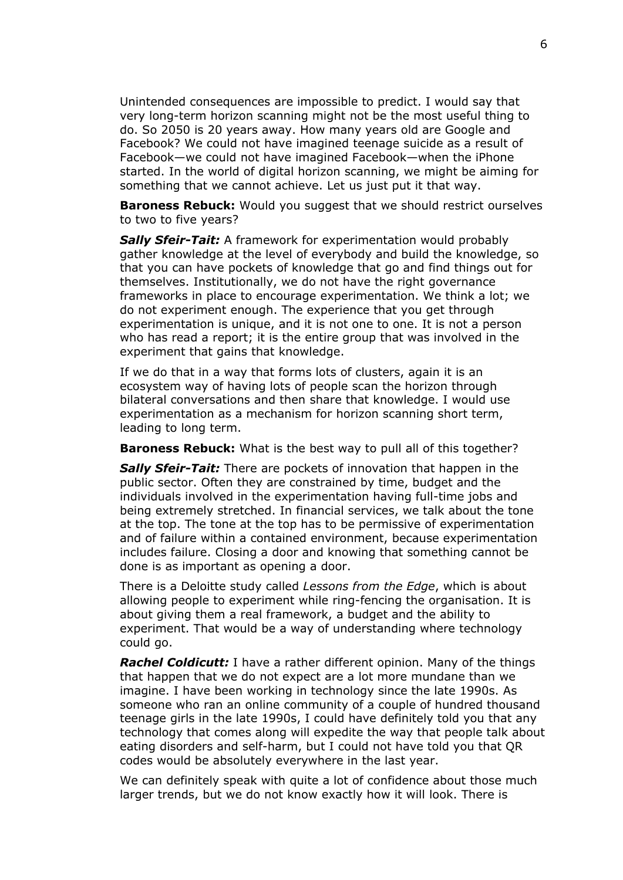Unintended consequences are impossible to predict. I would say that very long-term horizon scanning might not be the most useful thing to do. So 2050 is 20 years away. How many years old are Google and Facebook? We could not have imagined teenage suicide as a result of Facebook—we could not have imagined Facebook—when the iPhone started. In the world of digital horizon scanning, we might be aiming for something that we cannot achieve. Let us just put it that way.

**Baroness Rebuck:** Would you suggest that we should restrict ourselves to two to five years?

*Sally Sfeir-Tait:* A framework for experimentation would probably gather knowledge at the level of everybody and build the knowledge, so that you can have pockets of knowledge that go and find things out for themselves. Institutionally, we do not have the right governance frameworks in place to encourage experimentation. We think a lot; we do not experiment enough. The experience that you get through experimentation is unique, and it is not one to one. It is not a person who has read a report; it is the entire group that was involved in the experiment that gains that knowledge.

If we do that in a way that forms lots of clusters, again it is an ecosystem way of having lots of people scan the horizon through bilateral conversations and then share that knowledge. I would use experimentation as a mechanism for horizon scanning short term, leading to long term.

**Baroness Rebuck:** What is the best way to pull all of this together?

*Sally Sfeir-Tait:* There are pockets of innovation that happen in the public sector. Often they are constrained by time, budget and the individuals involved in the experimentation having full-time jobs and being extremely stretched. In financial services, we talk about the tone at the top. The tone at the top has to be permissive of experimentation and of failure within a contained environment, because experimentation includes failure. Closing a door and knowing that something cannot be done is as important as opening a door.

There is a Deloitte study called *Lessons from the Edge*, which is about allowing people to experiment while ring-fencing the organisation. It is about giving them a real framework, a budget and the ability to experiment. That would be a way of understanding where technology could go.

*Rachel Coldicutt:* I have a rather different opinion. Many of the things that happen that we do not expect are a lot more mundane than we imagine. I have been working in technology since the late 1990s. As someone who ran an online community of a couple of hundred thousand teenage girls in the late 1990s, I could have definitely told you that any technology that comes along will expedite the way that people talk about eating disorders and self-harm, but I could not have told you that QR codes would be absolutely everywhere in the last year.

We can definitely speak with quite a lot of confidence about those much larger trends, but we do not know exactly how it will look. There is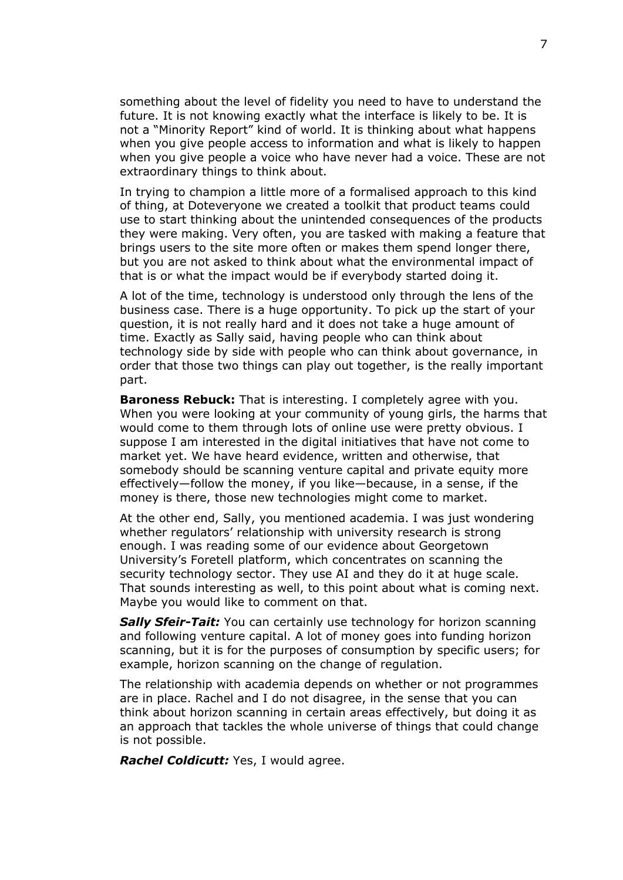something about the level of fidelity you need to have to understand the future. It is not knowing exactly what the interface is likely to be. It is not a "Minority Report" kind of world. It is thinking about what happens when you give people access to information and what is likely to happen when you give people a voice who have never had a voice. These are not extraordinary things to think about.

In trying to champion a little more of a formalised approach to this kind of thing, at Doteveryone we created a toolkit that product teams could use to start thinking about the unintended consequences of the products they were making. Very often, you are tasked with making a feature that brings users to the site more often or makes them spend longer there, but you are not asked to think about what the environmental impact of that is or what the impact would be if everybody started doing it.

A lot of the time, technology is understood only through the lens of the business case. There is a huge opportunity. To pick up the start of your question, it is not really hard and it does not take a huge amount of time. Exactly as Sally said, having people who can think about technology side by side with people who can think about governance, in order that those two things can play out together, is the really important part.

**Baroness Rebuck:** That is interesting. I completely agree with you. When you were looking at your community of young girls, the harms that would come to them through lots of online use were pretty obvious. I suppose I am interested in the digital initiatives that have not come to market yet. We have heard evidence, written and otherwise, that somebody should be scanning venture capital and private equity more effectively—follow the money, if you like—because, in a sense, if the money is there, those new technologies might come to market.

At the other end, Sally, you mentioned academia. I was just wondering whether regulators' relationship with university research is strong enough. I was reading some of our evidence about Georgetown University's Foretell platform, which concentrates on scanning the security technology sector. They use AI and they do it at huge scale. That sounds interesting as well, to this point about what is coming next. Maybe you would like to comment on that.

**Sally Sfeir-Tait:** You can certainly use technology for horizon scanning and following venture capital. A lot of money goes into funding horizon scanning, but it is for the purposes of consumption by specific users; for example, horizon scanning on the change of regulation.

The relationship with academia depends on whether or not programmes are in place. Rachel and I do not disagree, in the sense that you can think about horizon scanning in certain areas effectively, but doing it as an approach that tackles the whole universe of things that could change is not possible.

*Rachel Coldicutt:* Yes, I would agree.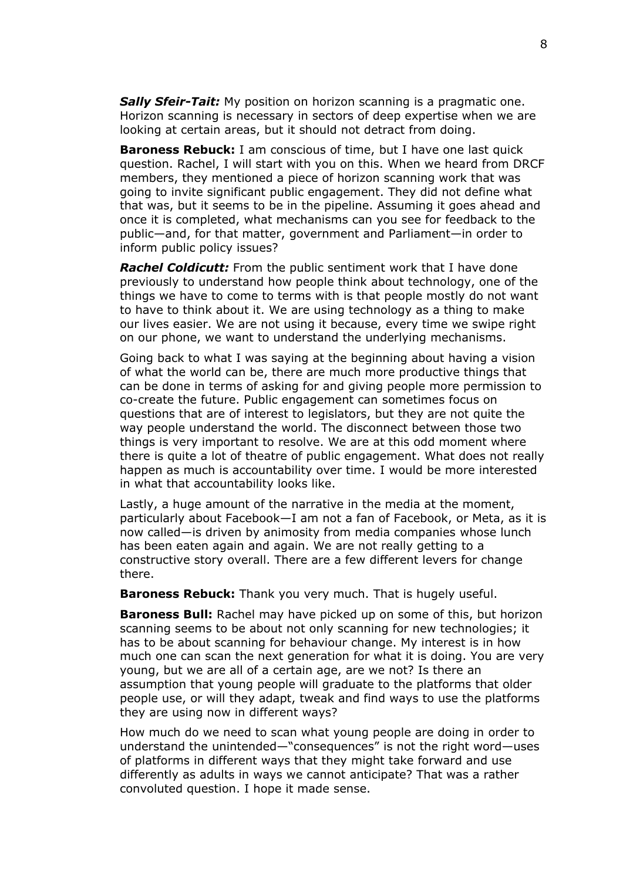*Sally Sfeir-Tait:* My position on horizon scanning is a pragmatic one. Horizon scanning is necessary in sectors of deep expertise when we are looking at certain areas, but it should not detract from doing.

**Baroness Rebuck:** I am conscious of time, but I have one last quick question. Rachel, I will start with you on this. When we heard from DRCF members, they mentioned a piece of horizon scanning work that was going to invite significant public engagement. They did not define what that was, but it seems to be in the pipeline. Assuming it goes ahead and once it is completed, what mechanisms can you see for feedback to the public—and, for that matter, government and Parliament—in order to inform public policy issues?

*Rachel Coldicutt:* From the public sentiment work that I have done previously to understand how people think about technology, one of the things we have to come to terms with is that people mostly do not want to have to think about it. We are using technology as a thing to make our lives easier. We are not using it because, every time we swipe right on our phone, we want to understand the underlying mechanisms.

Going back to what I was saying at the beginning about having a vision of what the world can be, there are much more productive things that can be done in terms of asking for and giving people more permission to co-create the future. Public engagement can sometimes focus on questions that are of interest to legislators, but they are not quite the way people understand the world. The disconnect between those two things is very important to resolve. We are at this odd moment where there is quite a lot of theatre of public engagement. What does not really happen as much is accountability over time. I would be more interested in what that accountability looks like.

Lastly, a huge amount of the narrative in the media at the moment, particularly about Facebook—I am not a fan of Facebook, or Meta, as it is now called—is driven by animosity from media companies whose lunch has been eaten again and again. We are not really getting to a constructive story overall. There are a few different levers for change there.

**Baroness Rebuck:** Thank you very much. That is hugely useful.

**Baroness Bull:** Rachel may have picked up on some of this, but horizon scanning seems to be about not only scanning for new technologies; it has to be about scanning for behaviour change. My interest is in how much one can scan the next generation for what it is doing. You are very young, but we are all of a certain age, are we not? Is there an assumption that young people will graduate to the platforms that older people use, or will they adapt, tweak and find ways to use the platforms they are using now in different ways?

How much do we need to scan what young people are doing in order to understand the unintended—"consequences" is not the right word—uses of platforms in different ways that they might take forward and use differently as adults in ways we cannot anticipate? That was a rather convoluted question. I hope it made sense.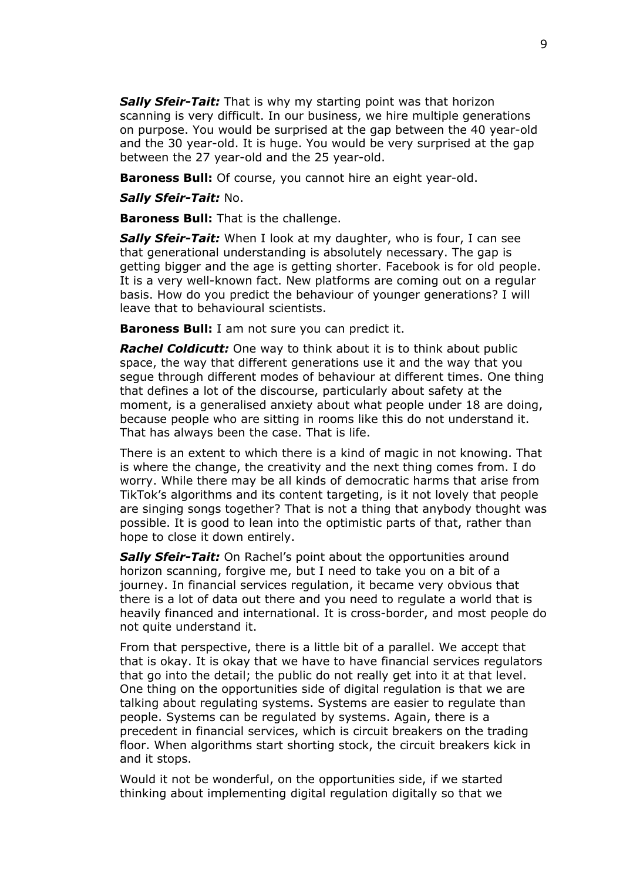*Sally Sfeir-Tait:* That is why my starting point was that horizon scanning is very difficult. In our business, we hire multiple generations on purpose. You would be surprised at the gap between the 40 year-old and the 30 year-old. It is huge. You would be very surprised at the gap between the 27 year-old and the 25 year-old.

**Baroness Bull:** Of course, you cannot hire an eight year-old.

*Sally Sfeir-Tait:* No.

**Baroness Bull:** That is the challenge.

*Sally Sfeir-Tait:* When I look at my daughter, who is four, I can see that generational understanding is absolutely necessary. The gap is getting bigger and the age is getting shorter. Facebook is for old people. It is a very well-known fact. New platforms are coming out on a regular basis. How do you predict the behaviour of younger generations? I will leave that to behavioural scientists.

**Baroness Bull:** I am not sure you can predict it.

*Rachel Coldicutt:* One way to think about it is to think about public space, the way that different generations use it and the way that you segue through different modes of behaviour at different times. One thing that defines a lot of the discourse, particularly about safety at the moment, is a generalised anxiety about what people under 18 are doing, because people who are sitting in rooms like this do not understand it. That has always been the case. That is life.

There is an extent to which there is a kind of magic in not knowing. That is where the change, the creativity and the next thing comes from. I do worry. While there may be all kinds of democratic harms that arise from TikTok's algorithms and its content targeting, is it not lovely that people are singing songs together? That is not a thing that anybody thought was possible. It is good to lean into the optimistic parts of that, rather than hope to close it down entirely.

*Sally Sfeir-Tait:* On Rachel's point about the opportunities around horizon scanning, forgive me, but I need to take you on a bit of a journey. In financial services regulation, it became very obvious that there is a lot of data out there and you need to regulate a world that is heavily financed and international. It is cross-border, and most people do not quite understand it.

From that perspective, there is a little bit of a parallel. We accept that that is okay. It is okay that we have to have financial services regulators that go into the detail; the public do not really get into it at that level. One thing on the opportunities side of digital regulation is that we are talking about regulating systems. Systems are easier to regulate than people. Systems can be regulated by systems. Again, there is a precedent in financial services, which is circuit breakers on the trading floor. When algorithms start shorting stock, the circuit breakers kick in and it stops.

Would it not be wonderful, on the opportunities side, if we started thinking about implementing digital regulation digitally so that we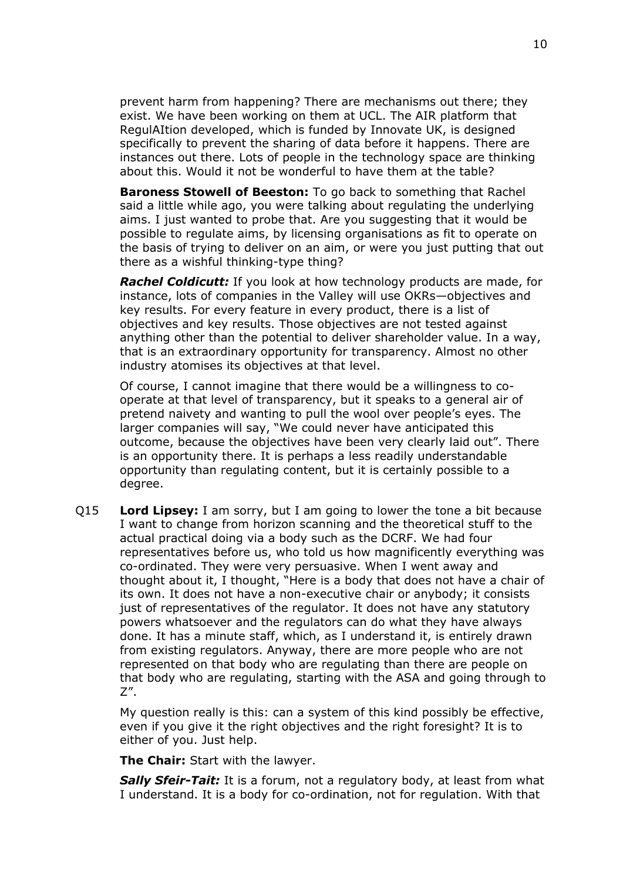prevent harm from happening? There are mechanisms out there; they exist. We have been working on them at UCL. The AIR platform that RegulAItion developed, which is funded by Innovate UK, is designed specifically to prevent the sharing of data before it happens. There are instances out there. Lots of people in the technology space are thinking about this. Would it not be wonderful to have them at the table?

**Baroness Stowell of Beeston:** To go back to something that Rachel said a little while ago, you were talking about regulating the underlying aims. I just wanted to probe that. Are you suggesting that it would be possible to regulate aims, by licensing organisations as fit to operate on the basis of trying to deliver on an aim, or were you just putting that out there as a wishful thinking-type thing?

*Rachel Coldicutt:* If you look at how technology products are made, for instance, lots of companies in the Valley will use OKRs—objectives and key results. For every feature in every product, there is a list of objectives and key results. Those objectives are not tested against anything other than the potential to deliver shareholder value. In a way, that is an extraordinary opportunity for transparency. Almost no other industry atomises its objectives at that level.

Of course, I cannot imagine that there would be a willingness to cooperate at that level of transparency, but it speaks to a general air of pretend naivety and wanting to pull the wool over people's eyes. The larger companies will say, "We could never have anticipated this outcome, because the objectives have been very clearly laid out". There is an opportunity there. It is perhaps a less readily understandable opportunity than regulating content, but it is certainly possible to a degree.

Q15 **Lord Lipsey:** I am sorry, but I am going to lower the tone a bit because I want to change from horizon scanning and the theoretical stuff to the actual practical doing via a body such as the DCRF. We had four representatives before us, who told us how magnificently everything was co-ordinated. They were very persuasive. When I went away and thought about it, I thought, "Here is a body that does not have a chair of its own. It does not have a non-executive chair or anybody; it consists just of representatives of the regulator. It does not have any statutory powers whatsoever and the regulators can do what they have always done. It has a minute staff, which, as I understand it, is entirely drawn from existing regulators. Anyway, there are more people who are not represented on that body who are regulating than there are people on that body who are regulating, starting with the ASA and going through to Z".

My question really is this: can a system of this kind possibly be effective, even if you give it the right objectives and the right foresight? It is to either of you. Just help.

**The Chair:** Start with the lawyer.

*Sally Sfeir-Tait:* It is a forum, not a regulatory body, at least from what I understand. It is a body for co-ordination, not for regulation. With that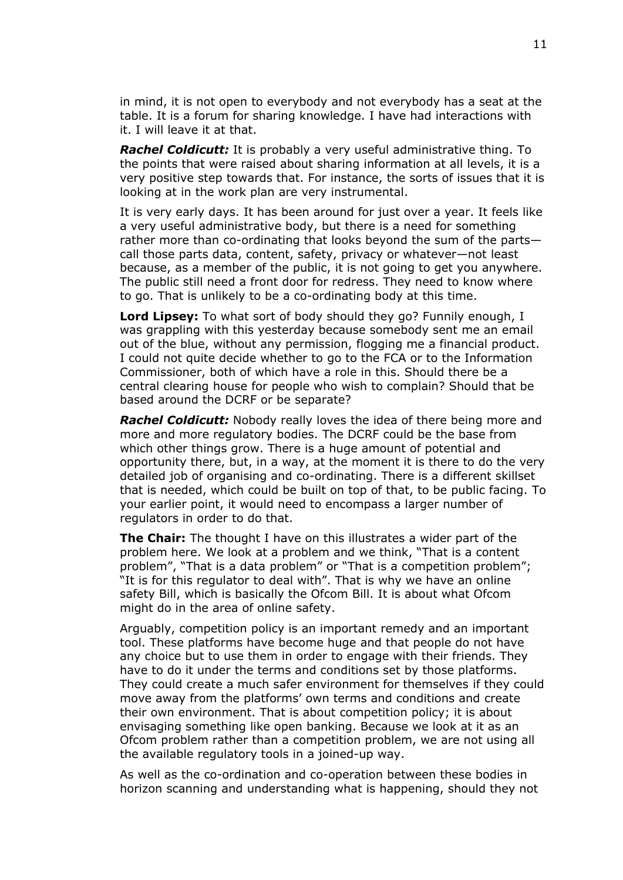in mind, it is not open to everybody and not everybody has a seat at the table. It is a forum for sharing knowledge. I have had interactions with it. I will leave it at that.

*Rachel Coldicutt:* It is probably a very useful administrative thing. To the points that were raised about sharing information at all levels, it is a very positive step towards that. For instance, the sorts of issues that it is looking at in the work plan are very instrumental.

It is very early days. It has been around for just over a year. It feels like a very useful administrative body, but there is a need for something rather more than co-ordinating that looks beyond the sum of the parts call those parts data, content, safety, privacy or whatever—not least because, as a member of the public, it is not going to get you anywhere. The public still need a front door for redress. They need to know where to go. That is unlikely to be a co-ordinating body at this time.

**Lord Lipsey:** To what sort of body should they go? Funnily enough, I was grappling with this yesterday because somebody sent me an email out of the blue, without any permission, flogging me a financial product. I could not quite decide whether to go to the FCA or to the Information Commissioner, both of which have a role in this. Should there be a central clearing house for people who wish to complain? Should that be based around the DCRF or be separate?

*Rachel Coldicutt:* Nobody really loves the idea of there being more and more and more regulatory bodies. The DCRF could be the base from which other things grow. There is a huge amount of potential and opportunity there, but, in a way, at the moment it is there to do the very detailed job of organising and co-ordinating. There is a different skillset that is needed, which could be built on top of that, to be public facing. To your earlier point, it would need to encompass a larger number of regulators in order to do that.

**The Chair:** The thought I have on this illustrates a wider part of the problem here. We look at a problem and we think, "That is a content problem", "That is a data problem" or "That is a competition problem"; "It is for this regulator to deal with". That is why we have an online safety Bill, which is basically the Ofcom Bill. It is about what Ofcom might do in the area of online safety.

Arguably, competition policy is an important remedy and an important tool. These platforms have become huge and that people do not have any choice but to use them in order to engage with their friends. They have to do it under the terms and conditions set by those platforms. They could create a much safer environment for themselves if they could move away from the platforms' own terms and conditions and create their own environment. That is about competition policy; it is about envisaging something like open banking. Because we look at it as an Ofcom problem rather than a competition problem, we are not using all the available regulatory tools in a joined-up way.

As well as the co-ordination and co-operation between these bodies in horizon scanning and understanding what is happening, should they not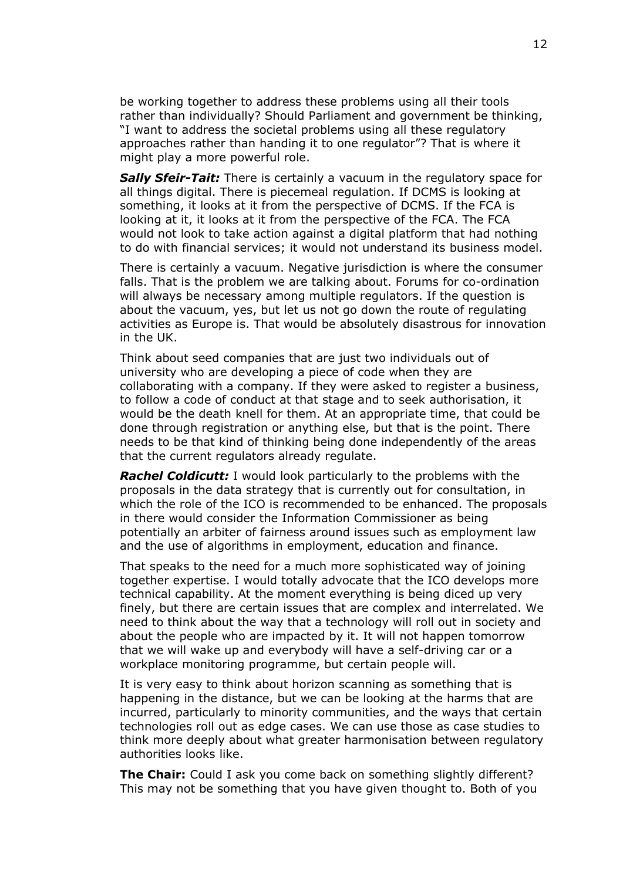be working together to address these problems using all their tools rather than individually? Should Parliament and government be thinking, "I want to address the societal problems using all these regulatory approaches rather than handing it to one regulator"? That is where it might play a more powerful role.

*Sally Sfeir-Tait:* There is certainly a vacuum in the regulatory space for all things digital. There is piecemeal regulation. If DCMS is looking at something, it looks at it from the perspective of DCMS. If the FCA is looking at it, it looks at it from the perspective of the FCA. The FCA would not look to take action against a digital platform that had nothing to do with financial services; it would not understand its business model.

There is certainly a vacuum. Negative jurisdiction is where the consumer falls. That is the problem we are talking about. Forums for co-ordination will always be necessary among multiple regulators. If the question is about the vacuum, yes, but let us not go down the route of regulating activities as Europe is. That would be absolutely disastrous for innovation in the UK.

Think about seed companies that are just two individuals out of university who are developing a piece of code when they are collaborating with a company. If they were asked to register a business, to follow a code of conduct at that stage and to seek authorisation, it would be the death knell for them. At an appropriate time, that could be done through registration or anything else, but that is the point. There needs to be that kind of thinking being done independently of the areas that the current regulators already regulate.

*Rachel Coldicutt:* I would look particularly to the problems with the proposals in the data strategy that is currently out for consultation, in which the role of the ICO is recommended to be enhanced. The proposals in there would consider the Information Commissioner as being potentially an arbiter of fairness around issues such as employment law and the use of algorithms in employment, education and finance.

That speaks to the need for a much more sophisticated way of joining together expertise. I would totally advocate that the ICO develops more technical capability. At the moment everything is being diced up very finely, but there are certain issues that are complex and interrelated. We need to think about the way that a technology will roll out in society and about the people who are impacted by it. It will not happen tomorrow that we will wake up and everybody will have a self-driving car or a workplace monitoring programme, but certain people will.

It is very easy to think about horizon scanning as something that is happening in the distance, but we can be looking at the harms that are incurred, particularly to minority communities, and the ways that certain technologies roll out as edge cases. We can use those as case studies to think more deeply about what greater harmonisation between regulatory authorities looks like.

**The Chair:** Could I ask you come back on something slightly different? This may not be something that you have given thought to. Both of you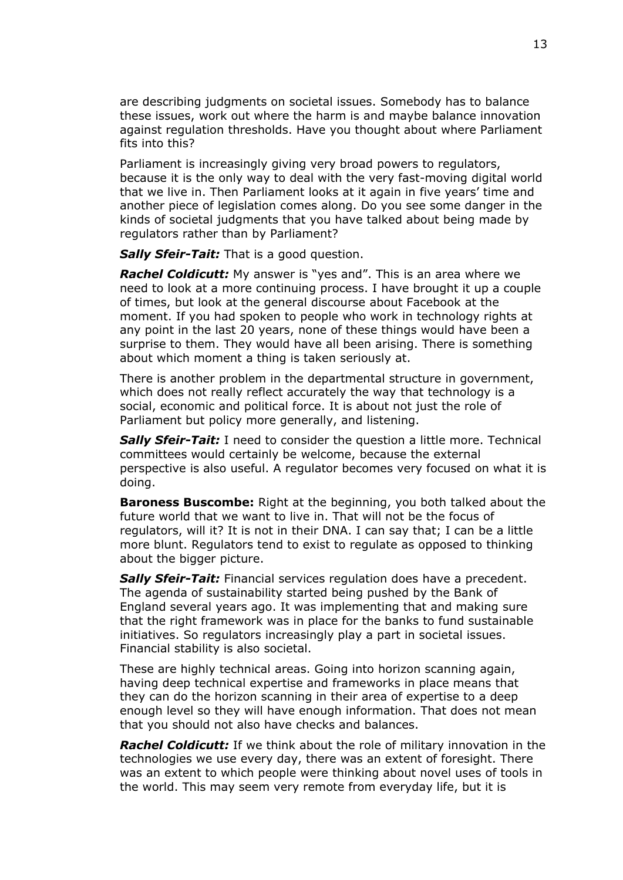are describing judgments on societal issues. Somebody has to balance these issues, work out where the harm is and maybe balance innovation against regulation thresholds. Have you thought about where Parliament fits into this?

Parliament is increasingly giving very broad powers to regulators, because it is the only way to deal with the very fast-moving digital world that we live in. Then Parliament looks at it again in five years' time and another piece of legislation comes along. Do you see some danger in the kinds of societal judgments that you have talked about being made by regulators rather than by Parliament?

*Sally Sfeir-Tait:* That is a good question.

*Rachel Coldicutt:* My answer is "yes and". This is an area where we need to look at a more continuing process. I have brought it up a couple of times, but look at the general discourse about Facebook at the moment. If you had spoken to people who work in technology rights at any point in the last 20 years, none of these things would have been a surprise to them. They would have all been arising. There is something about which moment a thing is taken seriously at.

There is another problem in the departmental structure in government, which does not really reflect accurately the way that technology is a social, economic and political force. It is about not just the role of Parliament but policy more generally, and listening.

*Sally Sfeir-Tait:* I need to consider the question a little more. Technical committees would certainly be welcome, because the external perspective is also useful. A regulator becomes very focused on what it is doing.

**Baroness Buscombe:** Right at the beginning, you both talked about the future world that we want to live in. That will not be the focus of regulators, will it? It is not in their DNA. I can say that; I can be a little more blunt. Regulators tend to exist to regulate as opposed to thinking about the bigger picture.

*Sally Sfeir-Tait:* Financial services regulation does have a precedent. The agenda of sustainability started being pushed by the Bank of England several years ago. It was implementing that and making sure that the right framework was in place for the banks to fund sustainable initiatives. So regulators increasingly play a part in societal issues. Financial stability is also societal.

These are highly technical areas. Going into horizon scanning again, having deep technical expertise and frameworks in place means that they can do the horizon scanning in their area of expertise to a deep enough level so they will have enough information. That does not mean that you should not also have checks and balances.

*Rachel Coldicutt:* If we think about the role of military innovation in the technologies we use every day, there was an extent of foresight. There was an extent to which people were thinking about novel uses of tools in the world. This may seem very remote from everyday life, but it is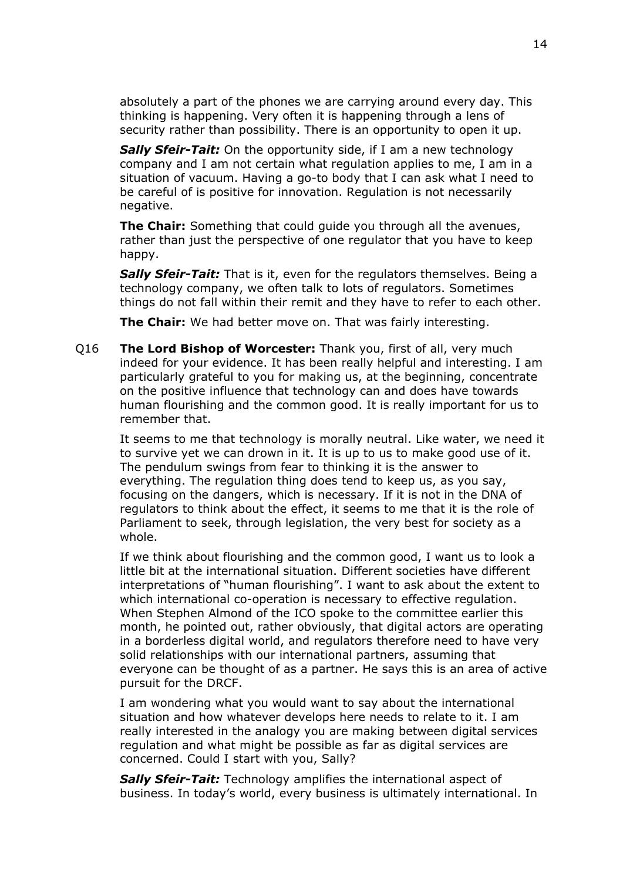absolutely a part of the phones we are carrying around every day. This thinking is happening. Very often it is happening through a lens of security rather than possibility. There is an opportunity to open it up.

*Sally Sfeir-Tait:* On the opportunity side, if I am a new technology company and I am not certain what regulation applies to me, I am in a situation of vacuum. Having a go-to body that I can ask what I need to be careful of is positive for innovation. Regulation is not necessarily negative.

**The Chair:** Something that could guide you through all the avenues, rather than just the perspective of one regulator that you have to keep happy.

*Sally Sfeir-Tait:* That is it, even for the regulators themselves. Being a technology company, we often talk to lots of regulators. Sometimes things do not fall within their remit and they have to refer to each other.

**The Chair:** We had better move on. That was fairly interesting.

Q16 **The Lord Bishop of Worcester:** Thank you, first of all, very much indeed for your evidence. It has been really helpful and interesting. I am particularly grateful to you for making us, at the beginning, concentrate on the positive influence that technology can and does have towards human flourishing and the common good. It is really important for us to remember that.

It seems to me that technology is morally neutral. Like water, we need it to survive yet we can drown in it. It is up to us to make good use of it. The pendulum swings from fear to thinking it is the answer to everything. The regulation thing does tend to keep us, as you say, focusing on the dangers, which is necessary. If it is not in the DNA of regulators to think about the effect, it seems to me that it is the role of Parliament to seek, through legislation, the very best for society as a whole.

If we think about flourishing and the common good, I want us to look a little bit at the international situation. Different societies have different interpretations of "human flourishing". I want to ask about the extent to which international co-operation is necessary to effective regulation. When Stephen Almond of the ICO spoke to the committee earlier this month, he pointed out, rather obviously, that digital actors are operating in a borderless digital world, and regulators therefore need to have very solid relationships with our international partners, assuming that everyone can be thought of as a partner. He says this is an area of active pursuit for the DRCF.

I am wondering what you would want to say about the international situation and how whatever develops here needs to relate to it. I am really interested in the analogy you are making between digital services regulation and what might be possible as far as digital services are concerned. Could I start with you, Sally?

*Sally Sfeir-Tait:* Technology amplifies the international aspect of business. In today's world, every business is ultimately international. In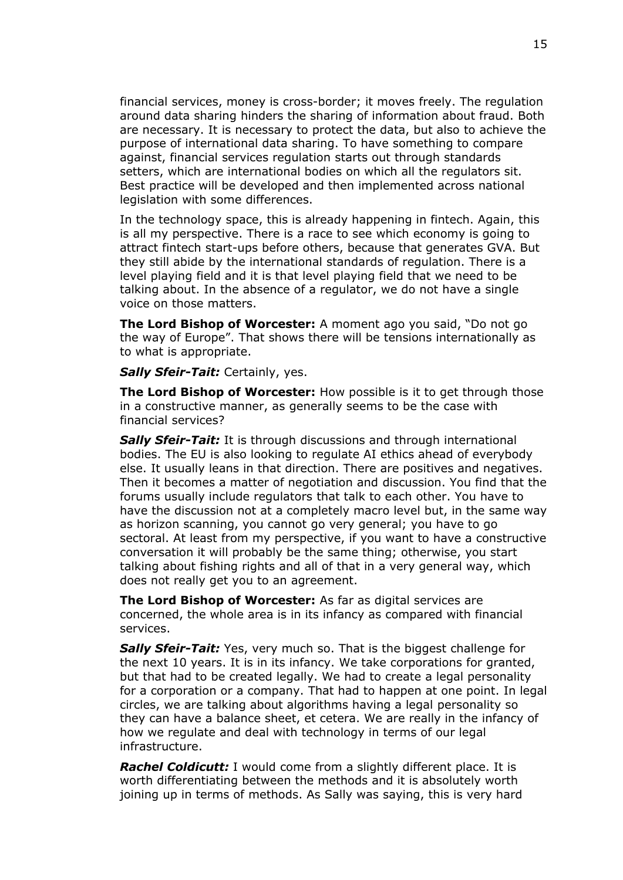financial services, money is cross-border; it moves freely. The regulation around data sharing hinders the sharing of information about fraud. Both are necessary. It is necessary to protect the data, but also to achieve the purpose of international data sharing. To have something to compare against, financial services regulation starts out through standards setters, which are international bodies on which all the regulators sit. Best practice will be developed and then implemented across national legislation with some differences.

In the technology space, this is already happening in fintech. Again, this is all my perspective. There is a race to see which economy is going to attract fintech start-ups before others, because that generates GVA. But they still abide by the international standards of regulation. There is a level playing field and it is that level playing field that we need to be talking about. In the absence of a regulator, we do not have a single voice on those matters.

**The Lord Bishop of Worcester:** A moment ago you said, "Do not go the way of Europe". That shows there will be tensions internationally as to what is appropriate.

*Sally Sfeir-Tait:* Certainly, yes.

**The Lord Bishop of Worcester:** How possible is it to get through those in a constructive manner, as generally seems to be the case with financial services?

*Sally Sfeir-Tait:* It is through discussions and through international bodies. The EU is also looking to regulate AI ethics ahead of everybody else. It usually leans in that direction. There are positives and negatives. Then it becomes a matter of negotiation and discussion. You find that the forums usually include regulators that talk to each other. You have to have the discussion not at a completely macro level but, in the same way as horizon scanning, you cannot go very general; you have to go sectoral. At least from my perspective, if you want to have a constructive conversation it will probably be the same thing; otherwise, you start talking about fishing rights and all of that in a very general way, which does not really get you to an agreement.

**The Lord Bishop of Worcester:** As far as digital services are concerned, the whole area is in its infancy as compared with financial services.

**Sally Sfeir-Tait:** Yes, very much so. That is the biggest challenge for the next 10 years. It is in its infancy. We take corporations for granted, but that had to be created legally. We had to create a legal personality for a corporation or a company. That had to happen at one point. In legal circles, we are talking about algorithms having a legal personality so they can have a balance sheet, et cetera. We are really in the infancy of how we regulate and deal with technology in terms of our legal infrastructure.

*Rachel Coldicutt:* I would come from a slightly different place. It is worth differentiating between the methods and it is absolutely worth joining up in terms of methods. As Sally was saying, this is very hard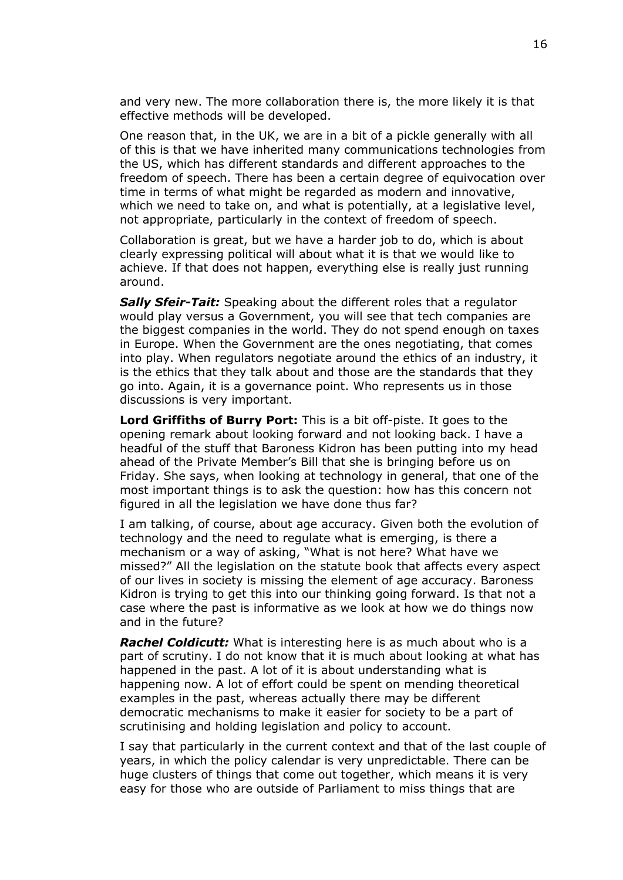and very new. The more collaboration there is, the more likely it is that effective methods will be developed.

One reason that, in the UK, we are in a bit of a pickle generally with all of this is that we have inherited many communications technologies from the US, which has different standards and different approaches to the freedom of speech. There has been a certain degree of equivocation over time in terms of what might be regarded as modern and innovative, which we need to take on, and what is potentially, at a legislative level, not appropriate, particularly in the context of freedom of speech.

Collaboration is great, but we have a harder job to do, which is about clearly expressing political will about what it is that we would like to achieve. If that does not happen, everything else is really just running around.

*Sally Sfeir-Tait:* Speaking about the different roles that a regulator would play versus a Government, you will see that tech companies are the biggest companies in the world. They do not spend enough on taxes in Europe. When the Government are the ones negotiating, that comes into play. When regulators negotiate around the ethics of an industry, it is the ethics that they talk about and those are the standards that they go into. Again, it is a governance point. Who represents us in those discussions is very important.

**Lord Griffiths of Burry Port:** This is a bit off-piste. It goes to the opening remark about looking forward and not looking back. I have a headful of the stuff that Baroness Kidron has been putting into my head ahead of the Private Member's Bill that she is bringing before us on Friday. She says, when looking at technology in general, that one of the most important things is to ask the question: how has this concern not figured in all the legislation we have done thus far?

I am talking, of course, about age accuracy. Given both the evolution of technology and the need to regulate what is emerging, is there a mechanism or a way of asking, "What is not here? What have we missed?" All the legislation on the statute book that affects every aspect of our lives in society is missing the element of age accuracy. Baroness Kidron is trying to get this into our thinking going forward. Is that not a case where the past is informative as we look at how we do things now and in the future?

*Rachel Coldicutt:* What is interesting here is as much about who is a part of scrutiny. I do not know that it is much about looking at what has happened in the past. A lot of it is about understanding what is happening now. A lot of effort could be spent on mending theoretical examples in the past, whereas actually there may be different democratic mechanisms to make it easier for society to be a part of scrutinising and holding legislation and policy to account.

I say that particularly in the current context and that of the last couple of years, in which the policy calendar is very unpredictable. There can be huge clusters of things that come out together, which means it is very easy for those who are outside of Parliament to miss things that are